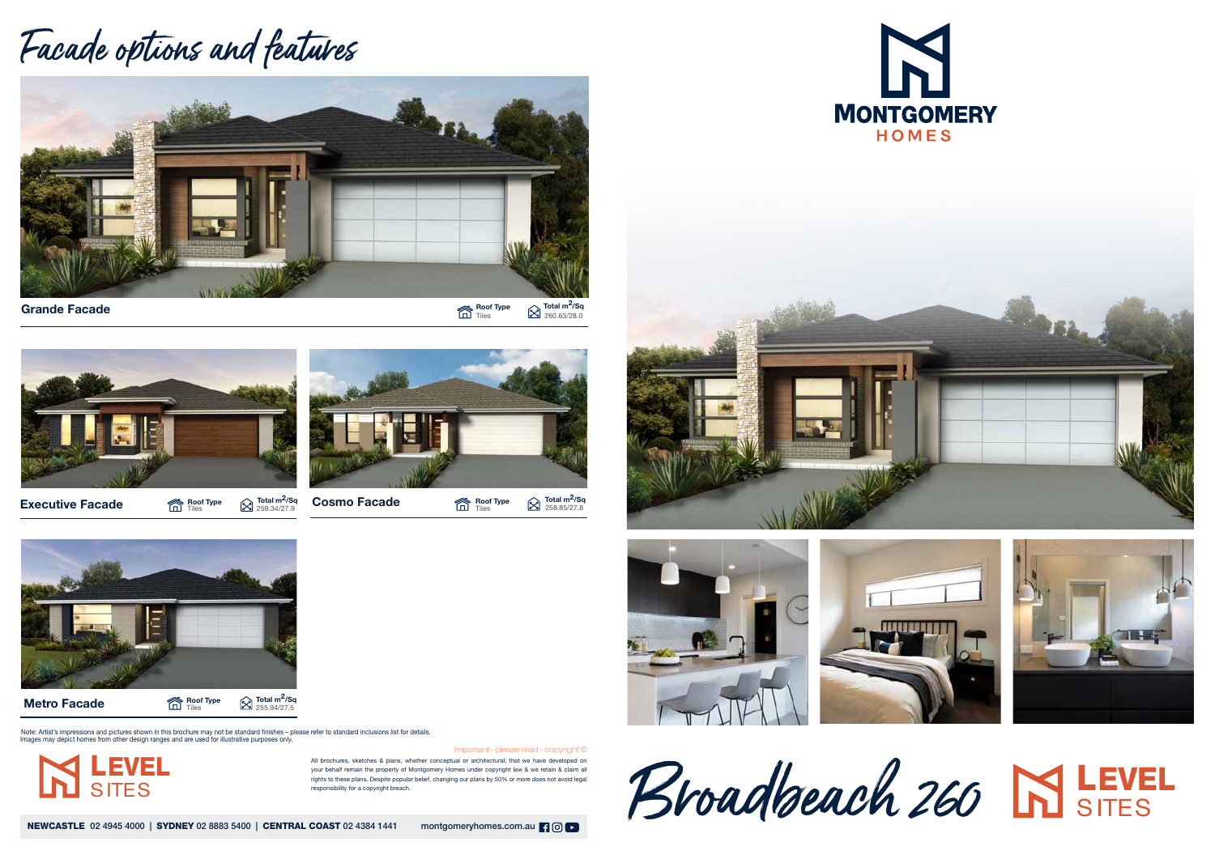All brochures, sketches & plans, whether conceptual or architectural, that we have developed on your behalf remain the property of Montgomery Homes under copyright law & we retain & claim all rights to these plans. Despite popular belief, changing our plans by 50% or more does not avoid legal responsibility for a copyright breach.

NEWCASTLE 02 4945 4000 | SYDNEY 02 8883 5400 | CENTRAL COAST 02 4384 1441 montgomeryhomes.com.au | 9 0 | 0

LEVEL **SITES** 

Important - please read - copyright ©







## Facade options and features



Grande Facade

Roof Type  $\qquad \qquad \Longleftrightarrow$  Total m<sup>2</sup>/Sq Tiles  $\sum$  260.63/28.0



**Executive Facade**  $\sum_{\text{The sum of 100}}^{\text{Root Type}}$   $\sum_{\text{259.34/27.9}}^{\text{Total m}^2/\text{Sq}}$  Cosmo Facade Roof Type



Roof Type

Metro Facade

**Roof Type**  $\bigotimes_{255.94/27.5}^{\text{\textsf{Total}}}$  **m<sup>2</sup>/Sq** 

Note: Artist's impressions and pictures shown in this brochure may not be standard finishes – please refer to standard inclusions list for details.<br>Images may depict homes from other design ranges and are used for illustra